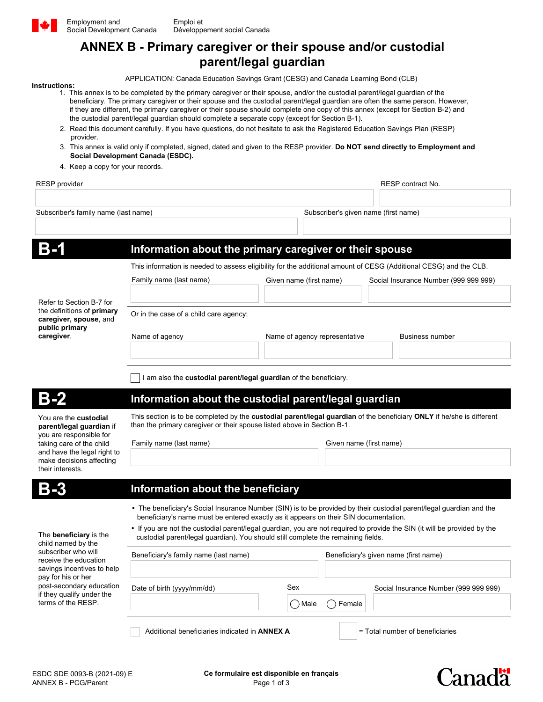

**ANNEX B - Primary caregiver or their spouse and/or custodial** 

# **parent/legal guardian**

## APPLICATION: Canada Education Savings Grant (CESG) and Canada Learning Bond (CLB)

- **Instructions:** 1. This annex is to be completed by the primary caregiver or their spouse, and/or the custodial parent/legal guardian of the beneficiary. The primary caregiver or their spouse and the custodial parent/legal guardian are often the same person. However, if they are different, the primary caregiver or their spouse should complete one copy of this annex (except for Section B-2) and the custodial parent/legal guardian should complete a separate copy (except for Section B-1).
	- 2. Read this document carefully. If you have questions, do not hesitate to ask the Registered Education Savings Plan (RESP) provider.
	- 3. This annex is valid only if completed, signed, dated and given to the RESP provider. **Do NOT send directly to Employment and Social Development Canada (ESDC).**
	- 4. Keep a copy for your records.

RESP provider **RESP** contract No.

**Canada** 

Subscriber's family name (last name) Subscriber's given name (first name)

|                                                                                                                                                                                                                                        | Information about the primary caregiver or their spouse                                                                                                                                                                                                                                                                                                                                                                        |                               |                                       |                                       |  |
|----------------------------------------------------------------------------------------------------------------------------------------------------------------------------------------------------------------------------------------|--------------------------------------------------------------------------------------------------------------------------------------------------------------------------------------------------------------------------------------------------------------------------------------------------------------------------------------------------------------------------------------------------------------------------------|-------------------------------|---------------------------------------|---------------------------------------|--|
| Refer to Section B-7 for<br>the definitions of <b>primary</b><br>caregiver, spouse, and<br>public primary<br>caregiver.                                                                                                                | This information is needed to assess eligibility for the additional amount of CESG (Additional CESG) and the CLB.                                                                                                                                                                                                                                                                                                              |                               |                                       |                                       |  |
|                                                                                                                                                                                                                                        | Family name (last name)                                                                                                                                                                                                                                                                                                                                                                                                        | Given name (first name)       |                                       | Social Insurance Number (999 999 999) |  |
|                                                                                                                                                                                                                                        |                                                                                                                                                                                                                                                                                                                                                                                                                                |                               |                                       |                                       |  |
|                                                                                                                                                                                                                                        | Or in the case of a child care agency:                                                                                                                                                                                                                                                                                                                                                                                         |                               |                                       |                                       |  |
|                                                                                                                                                                                                                                        | Name of agency                                                                                                                                                                                                                                                                                                                                                                                                                 | Name of agency representative |                                       | <b>Business number</b>                |  |
|                                                                                                                                                                                                                                        | I am also the <b>custodial parent/legal guardian</b> of the beneficiary.                                                                                                                                                                                                                                                                                                                                                       |                               |                                       |                                       |  |
|                                                                                                                                                                                                                                        | Information about the custodial parent/legal guardian                                                                                                                                                                                                                                                                                                                                                                          |                               |                                       |                                       |  |
| You are the <b>custodial</b><br>parent/legal guardian if<br>you are responsible for<br>taking care of the child<br>and have the legal right to<br>make decisions affecting<br>their interests.                                         | This section is to be completed by the custodial parent/legal quardian of the beneficiary ONLY if he/she is different<br>than the primary caregiver or their spouse listed above in Section B-1.                                                                                                                                                                                                                               |                               |                                       |                                       |  |
|                                                                                                                                                                                                                                        | Family name (last name)                                                                                                                                                                                                                                                                                                                                                                                                        |                               | Given name (first name)               |                                       |  |
|                                                                                                                                                                                                                                        |                                                                                                                                                                                                                                                                                                                                                                                                                                |                               |                                       |                                       |  |
|                                                                                                                                                                                                                                        | Information about the beneficiary                                                                                                                                                                                                                                                                                                                                                                                              |                               |                                       |                                       |  |
| The <b>beneficiary</b> is the<br>child named by the<br>subscriber who will<br>receive the education<br>savings incentives to help<br>pay for his or her<br>post-secondary education<br>if they qualify under the<br>terms of the RESP. | • The beneficiary's Social Insurance Number (SIN) is to be provided by their custodial parent/legal guardian and the<br>beneficiary's name must be entered exactly as it appears on their SIN documentation.<br>• If you are not the custodial parent/legal guardian, you are not required to provide the SIN (it will be provided by the<br>custodial parent/legal quardian). You should still complete the remaining fields. |                               |                                       |                                       |  |
|                                                                                                                                                                                                                                        | Beneficiary's family name (last name)                                                                                                                                                                                                                                                                                                                                                                                          |                               | Beneficiary's given name (first name) |                                       |  |
|                                                                                                                                                                                                                                        |                                                                                                                                                                                                                                                                                                                                                                                                                                |                               |                                       |                                       |  |
|                                                                                                                                                                                                                                        | Date of birth (yyyy/mm/dd)                                                                                                                                                                                                                                                                                                                                                                                                     | Sex                           |                                       | Social Insurance Number (999 999 999) |  |
|                                                                                                                                                                                                                                        |                                                                                                                                                                                                                                                                                                                                                                                                                                | ( )Male                       | ( )Female                             |                                       |  |
|                                                                                                                                                                                                                                        | Additional beneficiaries indicated in ANNEX A<br>= Total number of beneficiaries                                                                                                                                                                                                                                                                                                                                               |                               |                                       |                                       |  |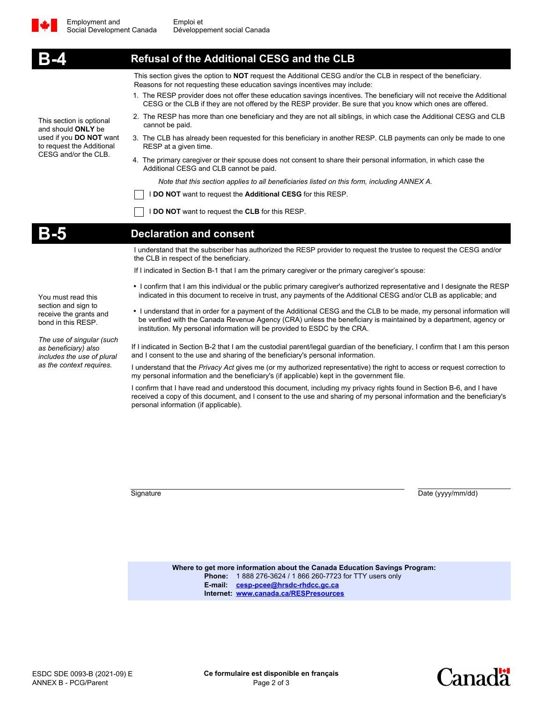

|                                                                                                                                                                                                          | <b>Refusal of the Additional CESG and the CLB</b>                                                                                                                                                                                                                                                                       |  |  |  |  |
|----------------------------------------------------------------------------------------------------------------------------------------------------------------------------------------------------------|-------------------------------------------------------------------------------------------------------------------------------------------------------------------------------------------------------------------------------------------------------------------------------------------------------------------------|--|--|--|--|
| This section is optional<br>and should <b>ONLY</b> be<br>used if you DO NOT want<br>to request the Additional<br>CESG and/or the CLB.                                                                    | This section gives the option to NOT request the Additional CESG and/or the CLB in respect of the beneficiary.<br>Reasons for not requesting these education savings incentives may include:                                                                                                                            |  |  |  |  |
|                                                                                                                                                                                                          | 1. The RESP provider does not offer these education savings incentives. The beneficiary will not receive the Additional<br>CESG or the CLB if they are not offered by the RESP provider. Be sure that you know which ones are offered.                                                                                  |  |  |  |  |
|                                                                                                                                                                                                          | 2. The RESP has more than one beneficiary and they are not all siblings, in which case the Additional CESG and CLB<br>cannot be paid.                                                                                                                                                                                   |  |  |  |  |
|                                                                                                                                                                                                          | 3. The CLB has already been requested for this beneficiary in another RESP. CLB payments can only be made to one<br>RESP at a given time.                                                                                                                                                                               |  |  |  |  |
|                                                                                                                                                                                                          | 4. The primary caregiver or their spouse does not consent to share their personal information, in which case the<br>Additional CESG and CLB cannot be paid.                                                                                                                                                             |  |  |  |  |
|                                                                                                                                                                                                          | Note that this section applies to all beneficiaries listed on this form, including ANNEX A.                                                                                                                                                                                                                             |  |  |  |  |
|                                                                                                                                                                                                          | <b>DO NOT</b> want to request the <b>Additional CESG</b> for this RESP.                                                                                                                                                                                                                                                 |  |  |  |  |
|                                                                                                                                                                                                          | <b>DO NOT</b> want to request the <b>CLB</b> for this RESP.                                                                                                                                                                                                                                                             |  |  |  |  |
|                                                                                                                                                                                                          | <b>Declaration and consent</b>                                                                                                                                                                                                                                                                                          |  |  |  |  |
|                                                                                                                                                                                                          | I understand that the subscriber has authorized the RESP provider to request the trustee to request the CESG and/or<br>the CLB in respect of the beneficiary.                                                                                                                                                           |  |  |  |  |
|                                                                                                                                                                                                          | If I indicated in Section B-1 that I am the primary caregiver or the primary caregiver's spouse:                                                                                                                                                                                                                        |  |  |  |  |
| You must read this<br>section and sign to<br>receive the grants and<br>bond in this RESP.<br>The use of singular (such<br>as beneficiary) also<br>includes the use of plural<br>as the context requires. | • I confirm that I am this individual or the public primary caregiver's authorized representative and I designate the RESP<br>indicated in this document to receive in trust, any payments of the Additional CESG and/or CLB as applicable; and                                                                         |  |  |  |  |
|                                                                                                                                                                                                          | • I understand that in order for a payment of the Additional CESG and the CLB to be made, my personal information will<br>be verified with the Canada Revenue Agency (CRA) unless the beneficiary is maintained by a department, agency or<br>institution. My personal information will be provided to ESDC by the CRA. |  |  |  |  |
|                                                                                                                                                                                                          | If I indicated in Section B-2 that I am the custodial parent/legal guardian of the beneficiary, I confirm that I am this person<br>and I consent to the use and sharing of the beneficiary's personal information.                                                                                                      |  |  |  |  |
|                                                                                                                                                                                                          | I understand that the Privacy Act gives me (or my authorized representative) the right to access or request correction to<br>my personal information and the beneficiary's (if applicable) kept in the government file.                                                                                                 |  |  |  |  |

I confirm that I have read and understood this document, including my privacy rights found in Section B-6, and I have received a copy of this document, and I consent to the use and sharing of my personal information and the beneficiary's personal information (if applicable).

Signature Date (yyyy/mm/dd)

**Where to get more information about the Canada Education Savings Program: Phone:** 1 888 276-3624 / 1 866 260-7723 for TTY users only **E-mail: [cesp-pcee@hrsdc-rhdcc.gc.ca](http://www.edsc.gc.ca/cgi-bin/emailform/index.aspx?GoCTemplateCulture=en-CA§ion=cesp) Internet: <www.canada.ca/RESPresources>**